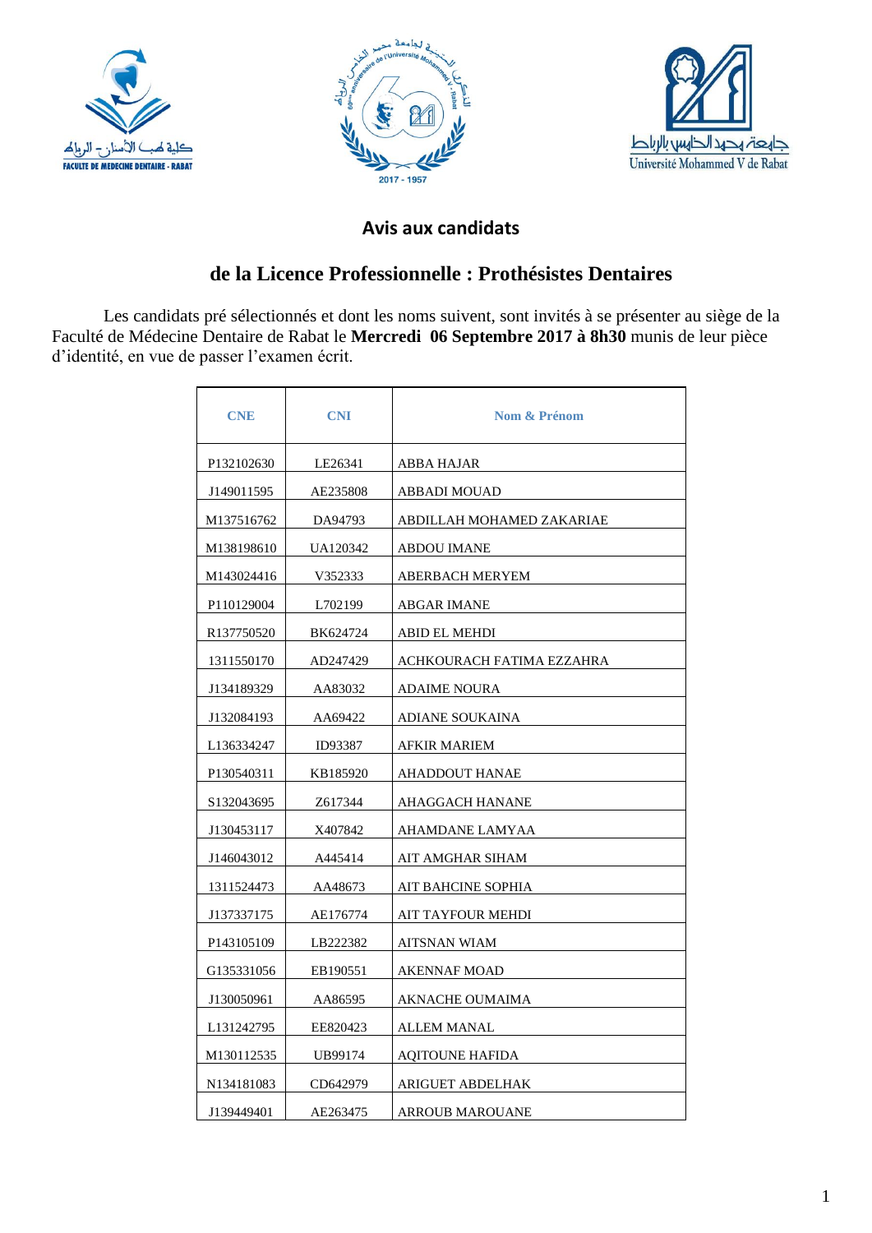





## **Avis aux candidats**

## **de la Licence Professionnelle : Prothésistes Dentaires**

Les candidats pré sélectionnés et dont les noms suivent, sont invités à se présenter au siège de la Faculté de Médecine Dentaire de Rabat le **Mercredi 06 Septembre 2017 à 8h30** munis de leur pièce d'identité, en vue de passer l'examen écrit.

| <b>CNE</b>             | <b>CNI</b> | <b>Nom &amp; Prénom</b>   |
|------------------------|------------|---------------------------|
| P132102630             | LE26341    | ABBA HAJAR                |
| J149011595             | AE235808   | ABBADI MOUAD              |
| M137516762             | DA94793    | ABDILLAH MOHAMED ZAKARIAE |
| M138198610             | UA120342   | <b>ABDOU IMANE</b>        |
| M143024416             | V352333    | ABERBACH MERYEM           |
| P110129004             | L702199    | ABGAR IMANE               |
| R137750520             | BK624724   | <b>ABID EL MEHDI</b>      |
| 1311550170             | AD247429   | ACHKOURACH FATIMA EZZAHRA |
| J134189329             | AA83032    | <b>ADAIME NOURA</b>       |
| J132084193             | AA69422    | <b>ADIANE SOUKAINA</b>    |
| L136334247             | ID93387    | <b>AFKIR MARIEM</b>       |
| P130540311             | KB185920   | AHADDOUT HANAE            |
| S <sub>132043695</sub> | Z617344    | AHAGGACH HANANE           |
| J130453117             | X407842    | AHAMDANE LAMYAA           |
| J146043012             | A445414    | AIT AMGHAR SIHAM          |
| 1311524473             | AA48673    | AIT BAHCINE SOPHIA        |
| J137337175             | AE176774   | AIT TAYFOUR MEHDI         |
| P143105109             | LB222382   | AITSNAN WIAM              |
| G135331056             | EB190551   | AKENNAF MOAD              |
| J130050961             | AA86595    | AKNACHE OUMAIMA           |
| L <sub>131242795</sub> | EE820423   | ALLEM MANAL               |
| M130112535             | UB99174    | <b>AQITOUNE HAFIDA</b>    |
| N134181083             | CD642979   | ARIGUET ABDELHAK          |
| J139449401             | AE263475   | <b>ARROUB MAROUANE</b>    |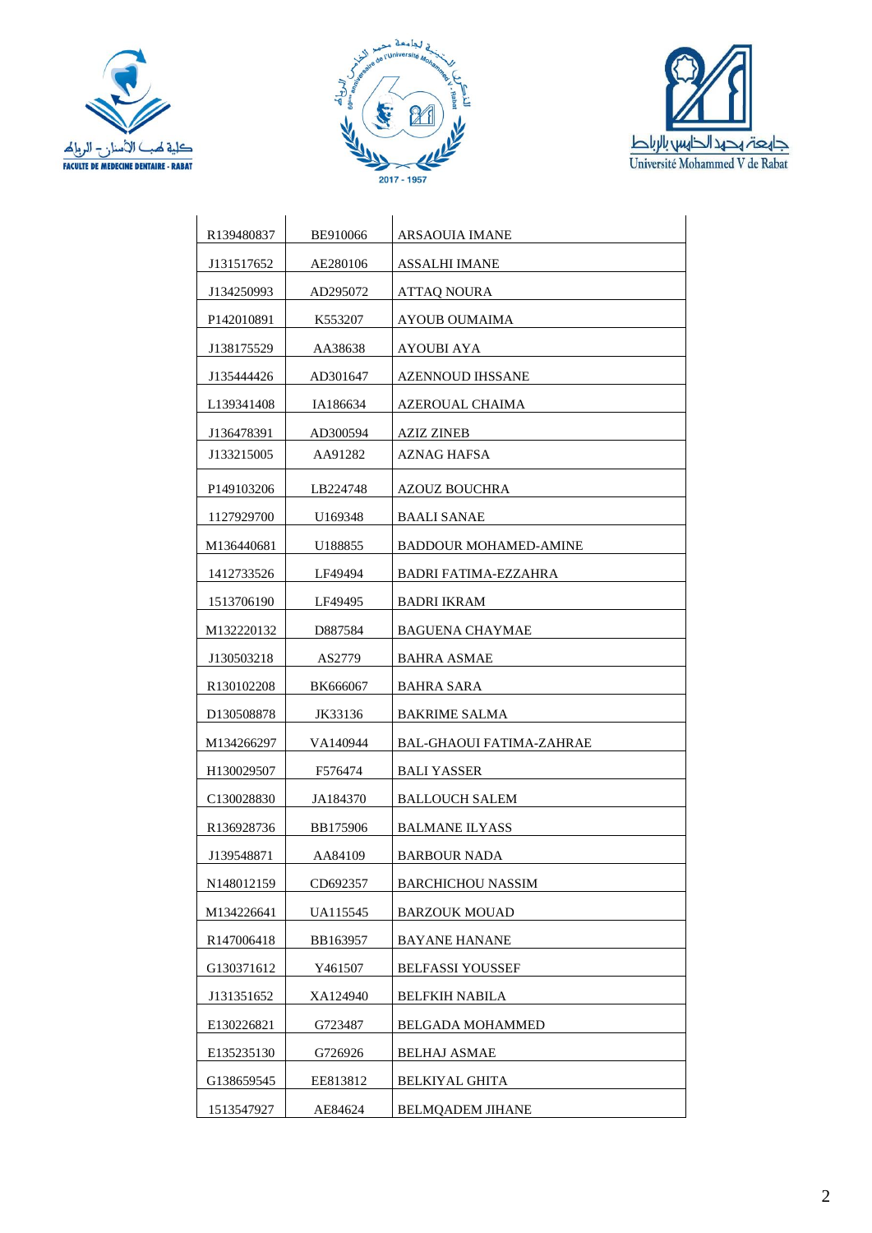





| R <sub>139480837</sub>  | BE910066 | ARSAOUIA IMANE               |
|-------------------------|----------|------------------------------|
| J131517652              | AE280106 | <b>ASSALHI IMANE</b>         |
| J134250993              | AD295072 | ATTAQ NOURA                  |
| P <sub>142010891</sub>  | K553207  | AYOUB OUMAIMA                |
| J138175529              | AA38638  | AYOUBI AYA                   |
| J135444426              | AD301647 | AZENNOUD IHSSANE             |
| L <sub>139341408</sub>  | IA186634 | AZEROUAL CHAIMA              |
| J136478391              | AD300594 | AZIZ ZINEB                   |
| J133215005              | AA91282  | AZNAG HAFSA                  |
| P <sub>149103206</sub>  | LB224748 | AZOUZ BOUCHRA                |
| 1127929700              | U169348  | BAALI SANAE                  |
| M136440681              | U188855  | <b>BADDOUR MOHAMED-AMINE</b> |
| 1412733526              | LF49494  | BADRI FATIMA-EZZAHRA         |
| 1513706190              | LF49495  | <b>BADRI IKRAM</b>           |
| M132220132              | D887584  | <b>BAGUENA CHAYMAE</b>       |
| J130503218              | AS2779   | <b>BAHRA ASMAE</b>           |
| R <sub>130102208</sub>  | BK666067 | <b>BAHRA SARA</b>            |
| D <sub>130508878</sub>  | JK33136  | <b>BAKRIME SALMA</b>         |
| M134266297              | VA140944 | BAL-GHAOUI FATIMA-ZAHRAE     |
| H <sub>130029507</sub>  | F576474  | <b>BALI YASSER</b>           |
| C <sub>130028830</sub>  | JA184370 | <b>BALLOUCH SALEM</b>        |
| R <sub>136928736</sub>  | BB175906 | <b>BALMANE ILYASS</b>        |
| J139548871              | AA84109  | <b>BARBOUR NADA</b>          |
| N <sub>1480</sub> 12159 | CD692357 | <b>BARCHICHOU NASSIM</b>     |
| M134226641              | UA115545 | <b>BARZOUK MOUAD</b>         |
| R147006418              | BB163957 | <b>BAYANE HANANE</b>         |
| G130371612              | Y461507  | <b>BELFASSI YOUSSEF</b>      |
| J131351652              | XA124940 | <b>BELFKIH NABILA</b>        |
| E130226821              | G723487  | <b>BELGADA MOHAMMED</b>      |
| E135235130              | G726926  | <b>BELHAJ ASMAE</b>          |
| G138659545              | EE813812 | <b>BELKIYAL GHITA</b>        |
| 1513547927              | AE84624  | <b>BELMQADEM JIHANE</b>      |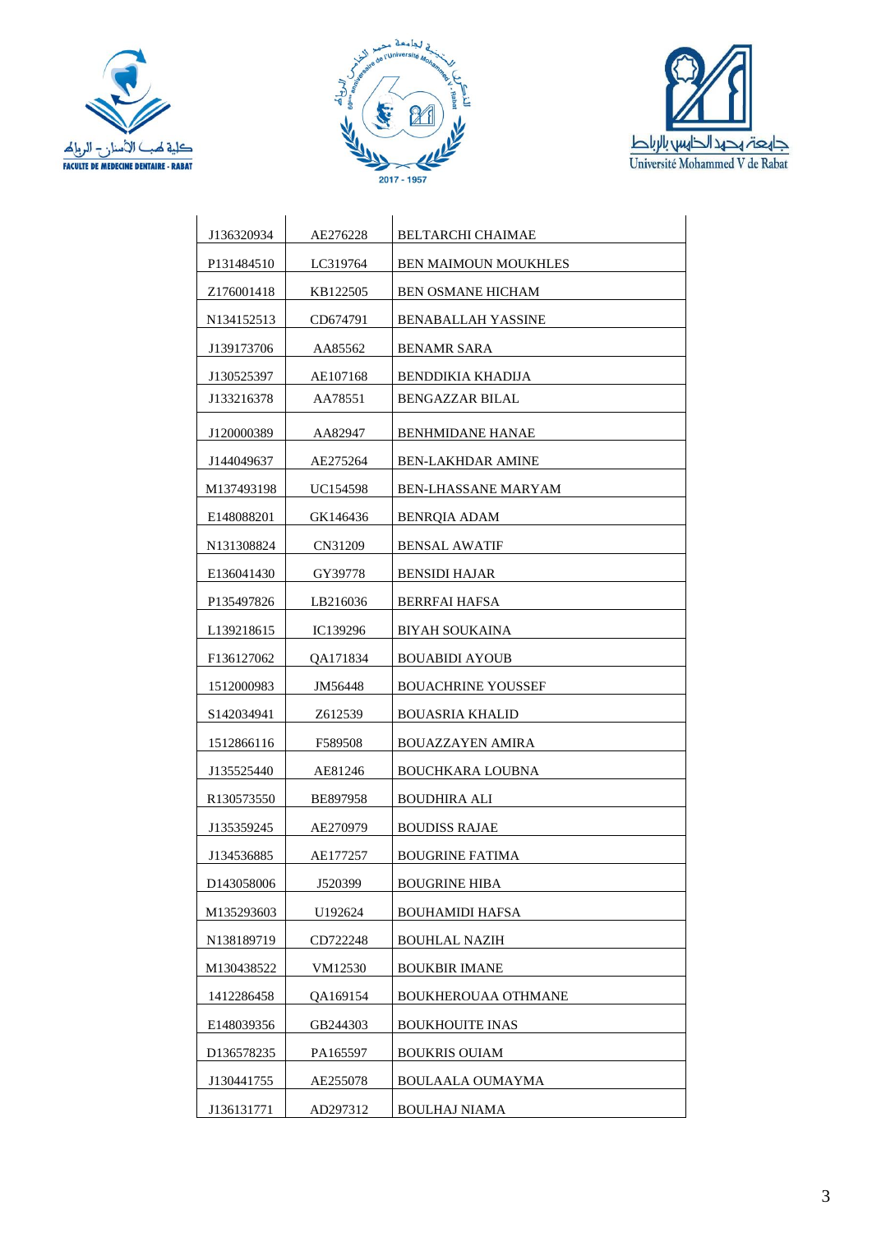





| J136320934             | AE276228        | BELTARCHI CHAIMAE           |
|------------------------|-----------------|-----------------------------|
| P <sub>131484510</sub> | LC319764        | <b>BEN MAIMOUN MOUKHLES</b> |
| Z <sub>176001418</sub> | KB122505        | <b>BEN OSMANE HICHAM</b>    |
| N134152513             | CD674791        | <b>BENABALLAH YASSINE</b>   |
| J139173706             | AA85562         | BENAMR SARA                 |
| J130525397             | AE107168        | BENDDIKIA KHADIJA           |
| J133216378             | AA78551         | <b>BENGAZZAR BILAL</b>      |
| J120000389             | AA82947         | <b>BENHMIDANE HANAE</b>     |
| J144049637             | AE275264        | <b>BEN-LAKHDAR AMINE</b>    |
| M137493198             | <b>UC154598</b> | <b>BEN-LHASSANE MARYAM</b>  |
| E148088201             | GK146436        | <b>BENROIA ADAM</b>         |
| N131308824             | CN31209         | <b>BENSAL AWATIF</b>        |
| E136041430             | GY39778         | <b>BENSIDI HAJAR</b>        |
| P135497826             | LB216036        | <b>BERRFAI HAFSA</b>        |
| L <sub>139218615</sub> | IC139296        | <b>BIYAH SOUKAINA</b>       |
| F136127062             | QA171834        | <b>BOUABIDI AYOUB</b>       |
| 1512000983             | JM56448         | <b>BOUACHRINE YOUSSEF</b>   |
| S142034941             | Z612539         | <b>BOUASRIA KHALID</b>      |
| 1512866116             | F589508         | <b>BOUAZZAYEN AMIRA</b>     |
| J135525440             | AE81246         | BOUCHKARA LOUBNA            |
| R <sub>130573550</sub> | BE897958        | <b>BOUDHIRA ALI</b>         |
| J135359245             | AE270979        | <b>BOUDISS RAJAE</b>        |
| J134536885             | AE177257        | <b>BOUGRINE FATIMA</b>      |
| D <sub>143058006</sub> | J520399         | <b>BOUGRINE HIBA</b>        |
| M135293603             | U192624         | <b>BOUHAMIDI HAFSA</b>      |
| N138189719             | CD722248        | <b>BOUHLAL NAZIH</b>        |
| M130438522             | VM12530         | <b>BOUKBIR IMANE</b>        |
| 1412286458             | QA169154        | <b>BOUKHEROUAA OTHMANE</b>  |
| E148039356             | GB244303        | <b>BOUKHOUITE INAS</b>      |
| D136578235             | PA165597        | <b>BOUKRIS OUIAM</b>        |
| J130441755             | AE255078        | BOULAALA OUMAYMA            |
| J136131771             | AD297312        | <b>BOULHAJ NIAMA</b>        |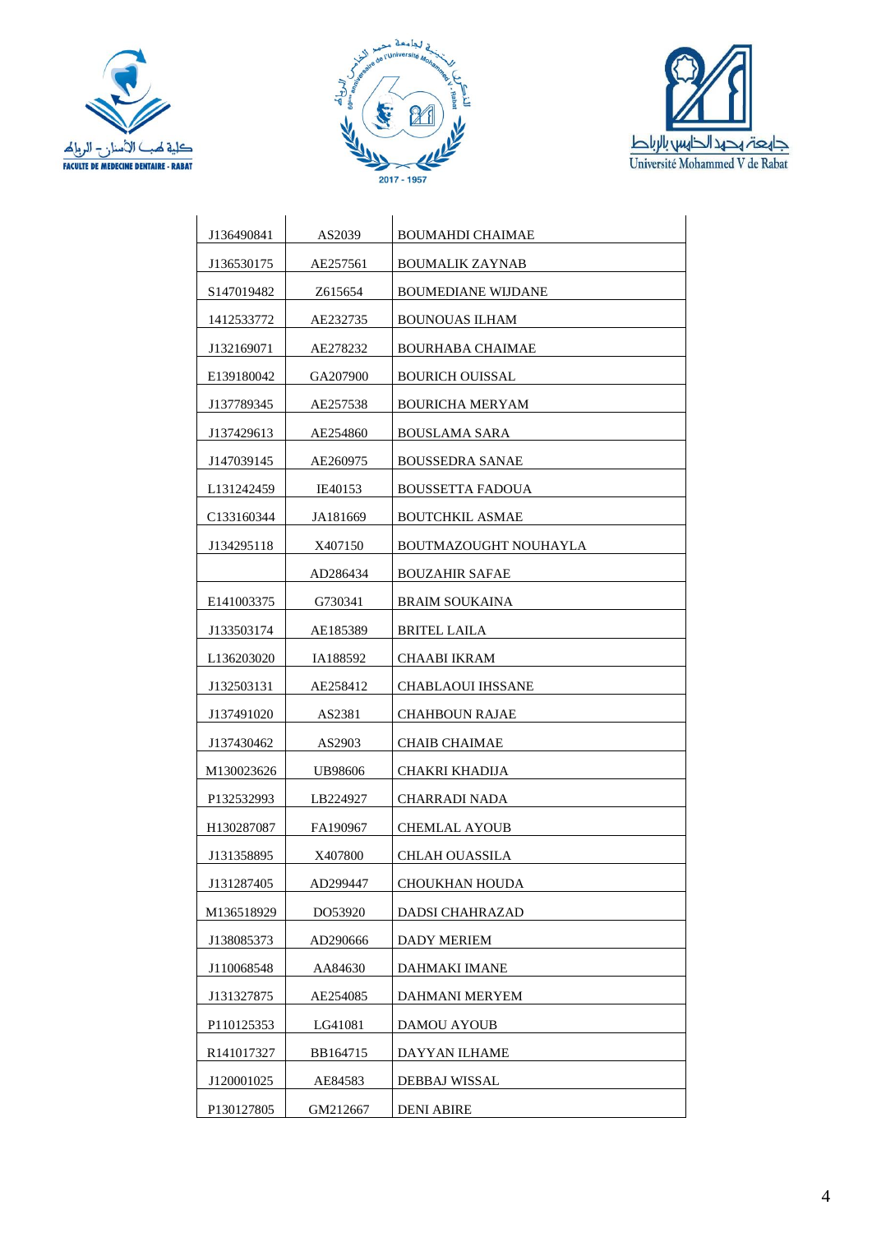





| J136490841                          | AS2039   | BOUMAHDI CHAIMAE          |
|-------------------------------------|----------|---------------------------|
| J136530175                          | AE257561 | BOUMALIK ZAYNAB           |
| S <sub>1470</sub> 1948 <sub>2</sub> | Z615654  | <b>BOUMEDIANE WIJDANE</b> |
| 1412533772                          | AE232735 | <b>BOUNOUAS ILHAM</b>     |
| J132169071                          | AE278232 | BOURHABA CHAIMAE          |
| E139180042                          | GA207900 | <b>BOURICH OUISSAL</b>    |
| J137789345                          | AE257538 | <b>BOURICHA MERYAM</b>    |
| J137429613                          | AE254860 | <b>BOUSLAMA SARA</b>      |
| J147039145                          | AE260975 | <b>BOUSSEDRA SANAE</b>    |
| L <sub>131242459</sub>              | IE40153  | BOUSSETTA FADOUA          |
| C133160344                          | JA181669 | <b>BOUTCHKIL ASMAE</b>    |
| J134295118                          | X407150  | BOUTMAZOUGHT NOUHAYLA     |
|                                     | AD286434 | <b>BOUZAHIR SAFAE</b>     |
| E141003375                          | G730341  | <b>BRAIM SOUKAINA</b>     |
| J133503174                          | AE185389 | BRITEL LAILA              |
| L <sub>136203020</sub>              | IA188592 | CHAABI IKRAM              |
| J132503131                          | AE258412 | <b>CHABLAOUI IHSSANE</b>  |
| J137491020                          | AS2381   | <b>CHAHBOUN RAJAE</b>     |
| J137430462                          | AS2903   | CHAIB CHAIMAE             |
| M130023626                          | UB98606  | CHAKRI KHADIJA            |
| P132532993                          | LB224927 | CHARRADI NADA             |
| H130287087                          | FA190967 | CHEMLAL AYOUB             |
| J131358895                          | X407800  | <b>CHLAH OUASSILA</b>     |
| J131287405                          | AD299447 | CHOUKHAN HOUDA            |
| M136518929                          | DO53920  | DADSI CHAHRAZAD           |
| J138085373                          | AD290666 | <b>DADY MERIEM</b>        |
| J110068548                          | AA84630  | DAHMAKI IMANE             |
| J131327875                          | AE254085 | DAHMANI MERYEM            |
| P110125353                          | LG41081  | DAMOU AYOUB               |
| R <sub>141017327</sub>              | BB164715 | DAYYAN ILHAME             |
| J120001025                          | AE84583  | DEBBAJ WISSAL             |
| P130127805                          | GM212667 | <b>DENI ABIRE</b>         |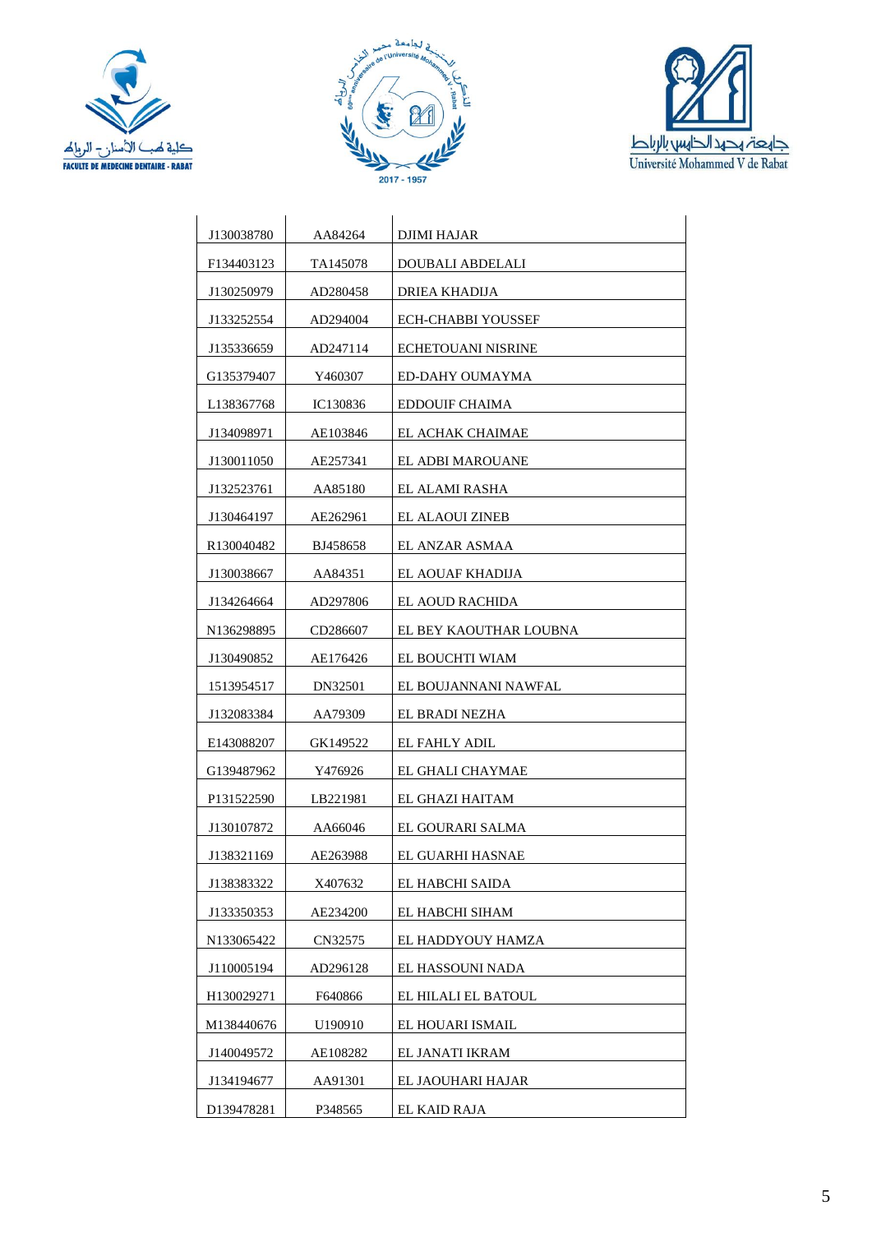





| J130038780             | AA84264  | DJIMI HAJAR            |
|------------------------|----------|------------------------|
| F134403123             | TA145078 | DOUBALI ABDELALI       |
| J130250979             | AD280458 | DRIEA KHADIJA          |
| J133252554             | AD294004 | ECH-CHABBI YOUSSEF     |
| J135336659             | AD247114 | ECHETOUANI NISRINE     |
| G135379407             | Y460307  | ED-DAHY OUMAYMA        |
| L <sub>138367768</sub> | IC130836 | EDDOUIF CHAIMA         |
| J134098971             | AE103846 | EL ACHAK CHAIMAE       |
| J130011050             | AE257341 | EL ADBI MAROUANE       |
| J132523761             | AA85180  | EL ALAMI RASHA         |
| J130464197             | AE262961 | EL ALAOUI ZINEB        |
| R <sub>130040482</sub> | BJ458658 | EL ANZAR ASMAA         |
| J130038667             | AA84351  | EL AOUAF KHADIJA       |
| J134264664             | AD297806 | EL AOUD RACHIDA        |
| N136298895             | CD286607 | EL BEY KAOUTHAR LOUBNA |
| J130490852             | AE176426 | EL BOUCHTI WIAM        |
| 1513954517             | DN32501  | EL BOUJANNANI NAWFAL   |
| J132083384             | AA79309  | EL BRADI NEZHA         |
| E143088207             | GK149522 | EL FAHLY ADIL          |
| G139487962             | Y476926  | EL GHALI CHAYMAE       |
| P131522590             | LB221981 | EL GHAZI HAITAM        |
| J130107872             | AA66046  | EL GOURARI SALMA       |
| J138321169             | AE263988 | EL GUARHI HASNAE       |
| J138383322             | X407632  | EL HABCHI SAIDA        |
| J133350353             | AE234200 | EL HABCHI SIHAM        |
| N133065422             | CN32575  | EL HADDYOUY HAMZA      |
| J110005194             | AD296128 | EL HASSOUNI NADA       |
| H130029271             | F640866  | EL HILALI EL BATOUL    |
| M138440676             | U190910  | EL HOUARI ISMAIL       |
| J140049572             | AE108282 | EL JANATI IKRAM        |
| J134194677             | AA91301  | EL JAOUHARI HAJAR      |
| D139478281             | P348565  | EL KAID RAJA           |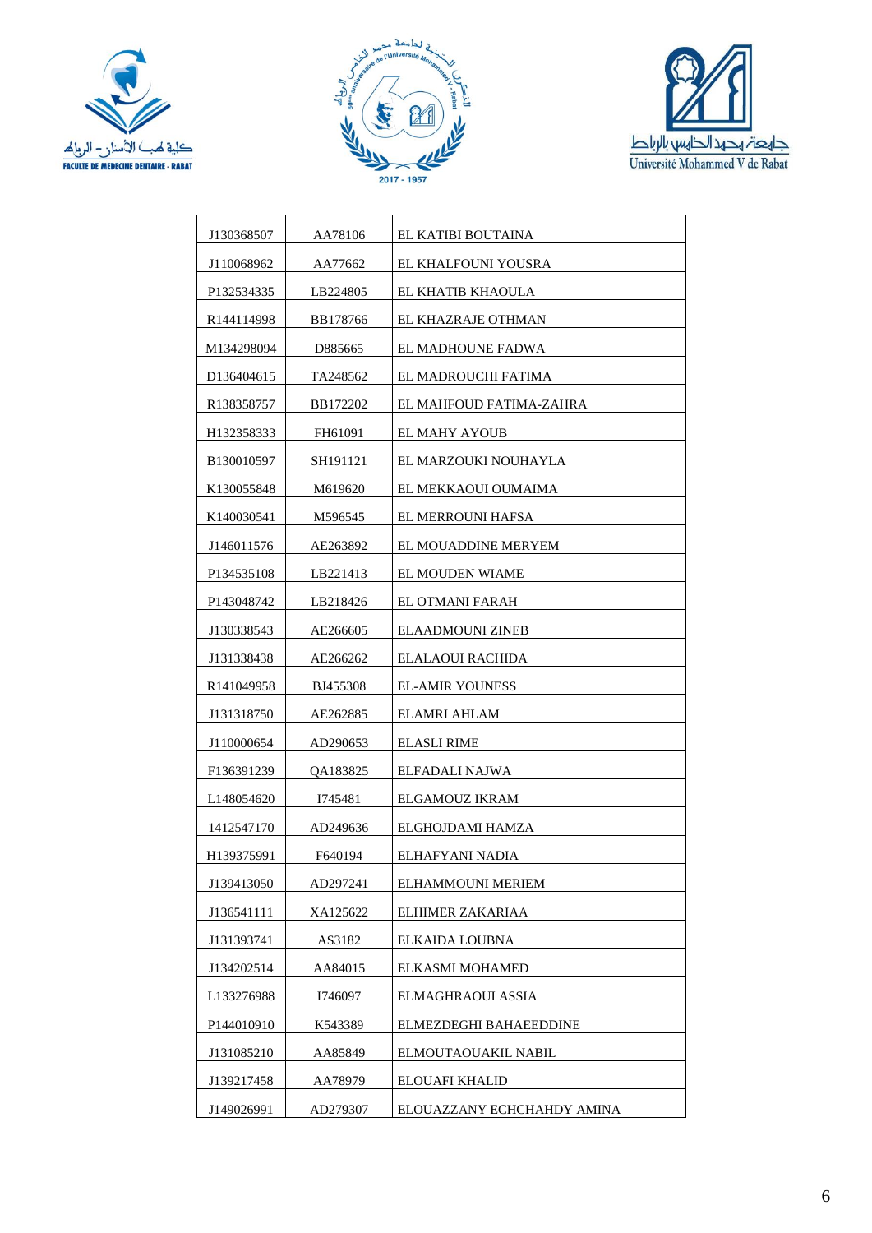





| J130368507              | AA78106  | EL KATIBI BOUTAINA         |
|-------------------------|----------|----------------------------|
| J110068962              | AA77662  | EL KHALFOUNI YOUSRA        |
| P132534335              | LB224805 | EL KHATIB KHAOULA          |
| R <sub>1441</sub> 14998 | BB178766 | EL KHAZRAJE OTHMAN         |
| M134298094              | D885665  | EL MADHOUNE FADWA          |
| D <sub>136404615</sub>  | TA248562 | EL MADROUCHI FATIMA        |
| R <sub>138358757</sub>  | BB172202 | EL MAHFOUD FATIMA-ZAHRA    |
| H <sub>132358333</sub>  | FH61091  | EL MAHY AYOUB              |
| B130010597              | SH191121 | EL MARZOUKI NOUHAYLA       |
| K <sub>130055848</sub>  | M619620  | EL MEKKAOUI OUMAIMA        |
| K140030541              | M596545  | EL MERROUNI HAFSA          |
| J146011576              | AE263892 | EL MOUADDINE MERYEM        |
| P134535108              | LB221413 | EL MOUDEN WIAME            |
| P <sub>143048742</sub>  | LB218426 | EL OTMANI FARAH            |
| J130338543              | AE266605 | <b>ELAADMOUNI ZINEB</b>    |
| J131338438              | AE266262 | ELALAOUI RACHIDA           |
| R <sub>141049958</sub>  | BJ455308 | <b>EL-AMIR YOUNESS</b>     |
| J131318750              | AE262885 | ELAMRI AHLAM               |
| J110000654              | AD290653 | ELASLI RIME                |
| F136391239              | QA183825 | ELFADALI NAJWA             |
| L <sub>148054620</sub>  | 1745481  | ELGAMOUZ IKRAM             |
| 1412547170              | AD249636 | ELGHOJDAMI HAMZA           |
| H139375991              | F640194  | ELHAFYANI NADIA            |
| J139413050              | AD297241 | ELHAMMOUNI MERIEM          |
| J136541111              | XA125622 | ELHIMER ZAKARIAA           |
| J131393741              | AS3182   | ELKAIDA LOUBNA             |
| J134202514              | AA84015  | ELKASMI MOHAMED            |
| L133276988              | I746097  | ELMAGHRAOUI ASSIA          |
| P144010910              | K543389  | ELMEZDEGHI BAHAEEDDINE     |
| J131085210              | AA85849  | ELMOUTAOUAKIL NABIL        |
| J139217458              | AA78979  | <b>ELOUAFI KHALID</b>      |
| J149026991              | AD279307 | ELOUAZZANY ECHCHAHDY AMINA |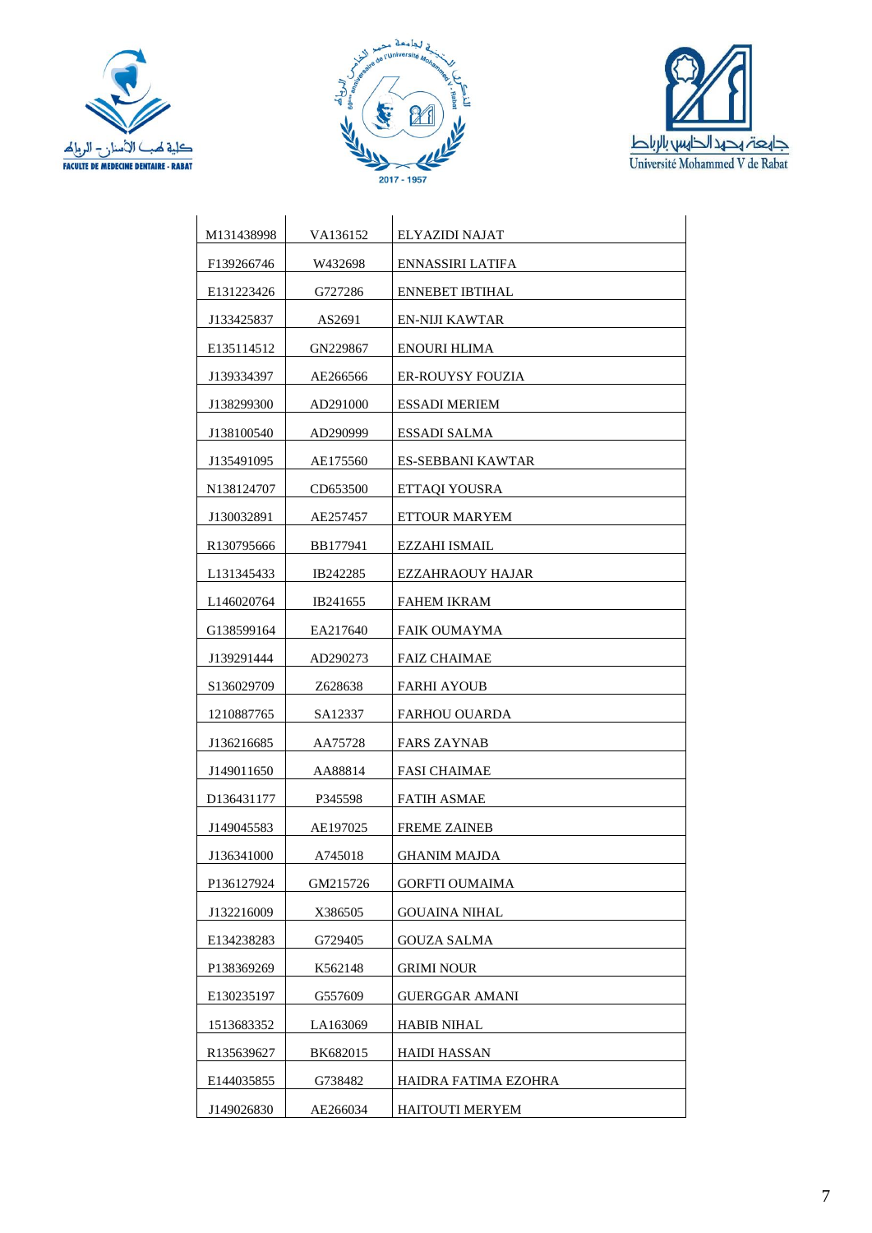





| M131438998             | VA136152 | ELYAZIDI NAJAT          |
|------------------------|----------|-------------------------|
| F139266746             | W432698  | ENNASSIRI LATIFA        |
| E131223426             | G727286  | <b>ENNEBET IBTIHAL</b>  |
| J133425837             | AS2691   | EN-NIJI KAWTAR          |
| E135114512             | GN229867 | <b>ENOURI HLIMA</b>     |
| J139334397             | AE266566 | <b>ER-ROUYSY FOUZIA</b> |
| J138299300             | AD291000 | <b>ESSADI MERIEM</b>    |
| J138100540             | AD290999 | ESSADI SALMA            |
| J135491095             | AE175560 | ES-SEBBANI KAWTAR       |
| N <sub>138124707</sub> | CD653500 | ETTAQI YOUSRA           |
| J130032891             | AE257457 | ETTOUR MARYEM           |
| R <sub>130795666</sub> | BB177941 | EZZAHI ISMAIL           |
| L131345433             | IB242285 | EZZAHRAOUY HAJAR        |
| L <sub>146020764</sub> | IB241655 | <b>FAHEM IKRAM</b>      |
| G138599164             | EA217640 | FAIK OUMAYMA            |
| J139291444             | AD290273 | <b>FAIZ CHAIMAE</b>     |
| S <sub>136029709</sub> | Z628638  | <b>FARHI AYOUB</b>      |
| 1210887765             | SA12337  | FARHOU OUARDA           |
| J136216685             | AA75728  | <b>FARS ZAYNAB</b>      |
| J149011650             | AA88814  | <b>FASI CHAIMAE</b>     |
| D136431177             | P345598  | <b>FATIH ASMAE</b>      |
| J149045583             | AE197025 | <b>FREME ZAINEB</b>     |
| J136341000             | A745018  | <b>GHANIM MAJDA</b>     |
| P136127924             | GM215726 | <b>GORFTI OUMAIMA</b>   |
| J132216009             | X386505  | GOUAINA NIHAL           |
| E134238283             | G729405  | GOUZA SALMA             |
| P138369269             | K562148  | <b>GRIMI NOUR</b>       |
| E130235197             | G557609  | GUERGGAR AMANI          |
| 1513683352             | LA163069 | <b>HABIB NIHAL</b>      |
| R135639627             | BK682015 | <b>HAIDI HASSAN</b>     |
| E144035855             | G738482  | HAIDRA FATIMA EZOHRA    |
| J149026830             | AE266034 | <b>HAITOUTI MERYEM</b>  |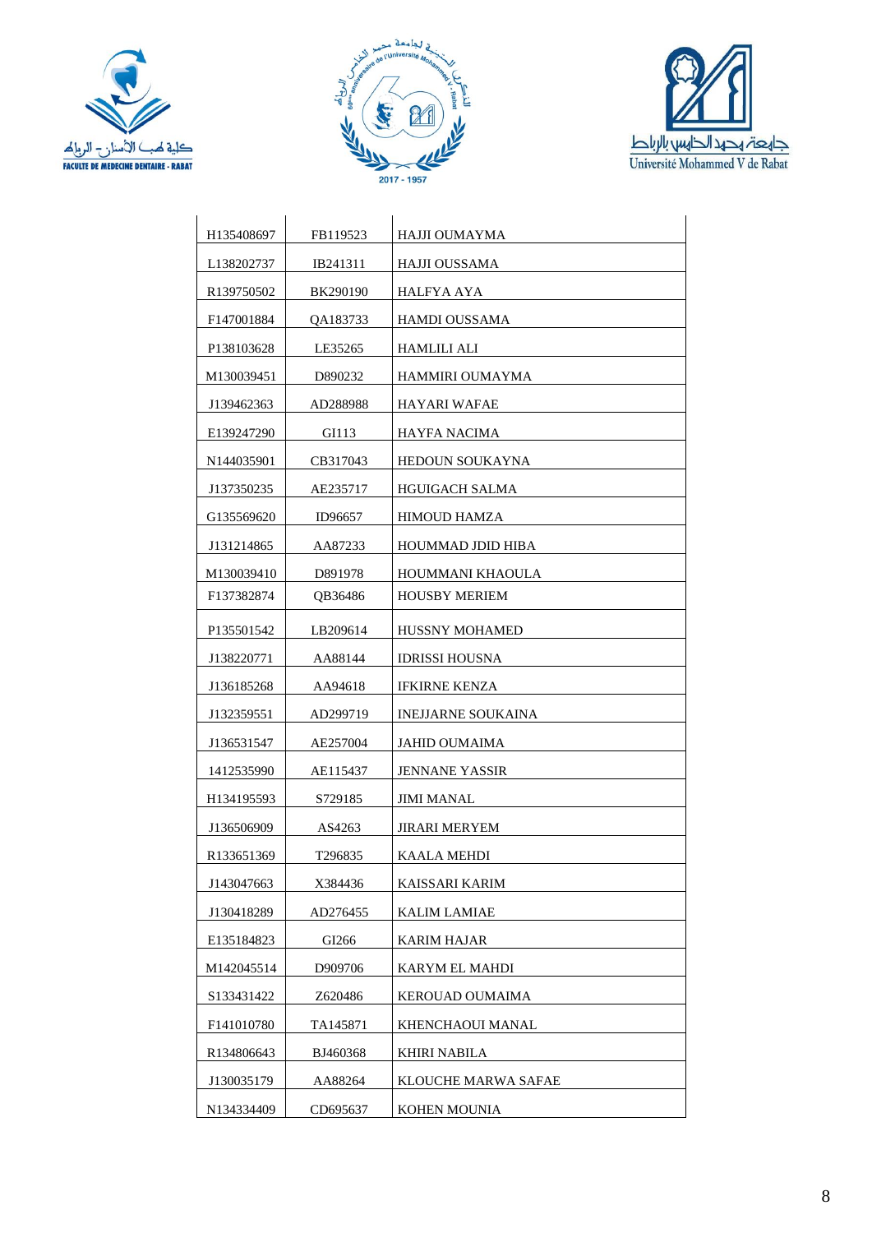





| H <sub>135408697</sub>  | FB119523 | HAJJI OUMAYMA             |
|-------------------------|----------|---------------------------|
| L <sub>138202737</sub>  | IB241311 | HAJJI OUSSAMA             |
| R <sub>139750502</sub>  | BK290190 | HALFYA AYA                |
| F147001884              | QA183733 | HAMDI OUSSAMA             |
| P138103628              | LE35265  | HAMLILI ALI               |
| M130039451              | D890232  | HAMMIRI OUMAYMA           |
| J139462363              | AD288988 | HAYARI WAFAE              |
| E139247290              | GI113    | HAYFA NACIMA              |
| N <sub>1440</sub> 35901 | CB317043 | <b>HEDOUN SOUKAYNA</b>    |
| J137350235              | AE235717 | <b>HGUIGACH SALMA</b>     |
| G135569620              | ID96657  | HIMOUD HAMZA              |
| J131214865              | AA87233  | HOUMMAD JDID HIBA         |
| M130039410              | D891978  | HOUMMANI KHAOULA          |
| F137382874              | QB36486  | <b>HOUSBY MERIEM</b>      |
| P135501542              | LB209614 | <b>HUSSNY MOHAMED</b>     |
| J138220771              | AA88144  | <b>IDRISSI HOUSNA</b>     |
| J136185268              | AA94618  | <b>IFKIRNE KENZA</b>      |
| J132359551              | AD299719 | <b>INEJJARNE SOUKAINA</b> |
| J136531547              | AE257004 | JAHID OUMAIMA             |
| 1412535990              | AE115437 | <b>JENNANE YASSIR</b>     |
| H <sub>134195593</sub>  | S729185  | JIMI MANAL                |
| J136506909              | AS4263   | <b>JIRARI MERYEM</b>      |
| R <sub>133651369</sub>  | T296835  | KAALA MEHDI               |
| J143047663              | X384436  | KAISSARI KARIM            |
| J130418289              | AD276455 | <b>KALIM LAMIAE</b>       |
| E135184823              | GI266    | KARIM HAJAR               |
| M142045514              | D909706  | KARYM EL MAHDI            |
| S133431422              | Z620486  | KEROUAD OUMAIMA           |
| F141010780              | TA145871 | KHENCHAOUI MANAL          |
| R134806643              | BJ460368 | KHIRI NABILA              |
| J130035179              | AA88264  | KLOUCHE MARWA SAFAE       |
| N134334409              | CD695637 | KOHEN MOUNIA              |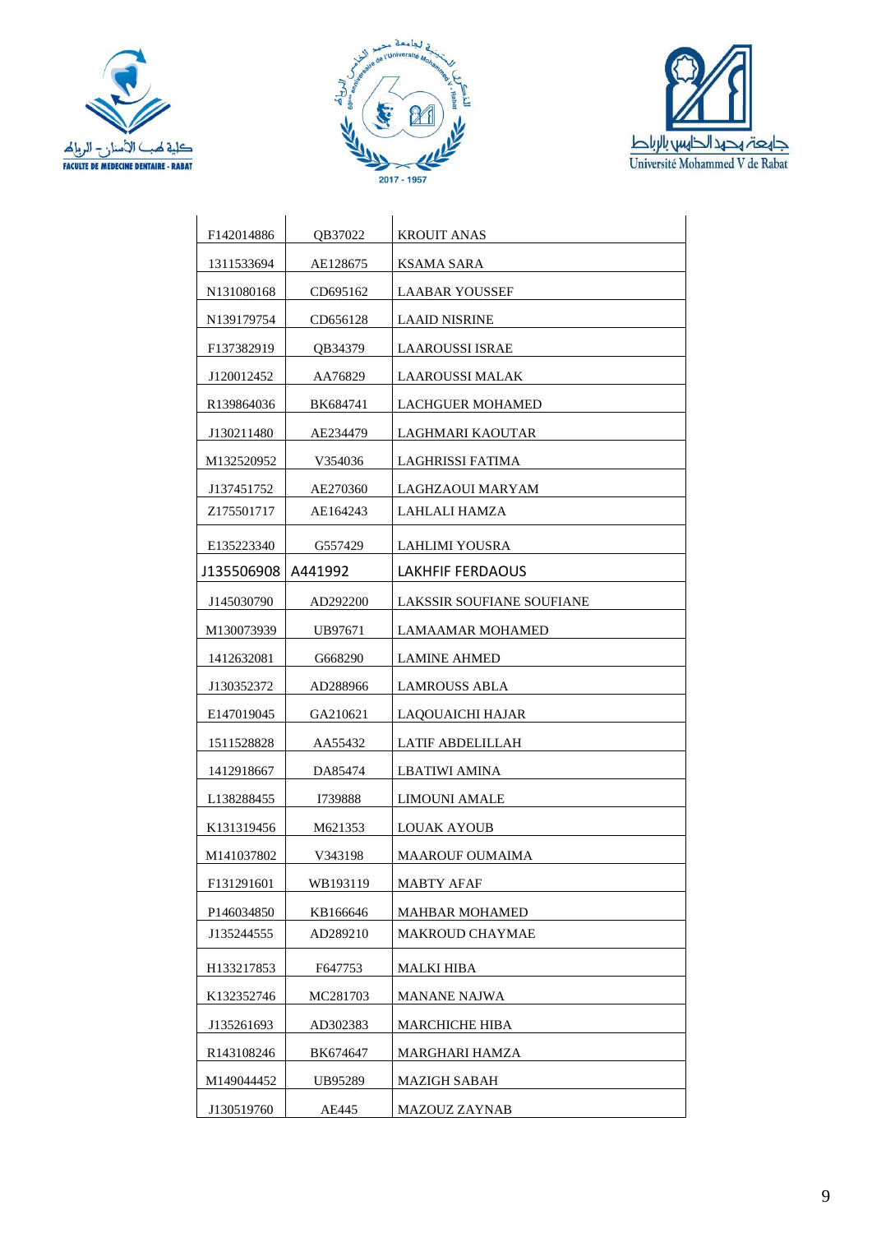





| F142014886             | OB37022  | <b>KROUIT ANAS</b>        |
|------------------------|----------|---------------------------|
| 1311533694             | AE128675 | KSAMA SARA                |
| N131080168             | CD695162 | LAABAR YOUSSEF            |
| N139179754             | CD656128 | <b>LAAID NISRINE</b>      |
| F137382919             | QB34379  | LAAROUSSI ISRAE           |
| J120012452             | AA76829  | <b>LAAROUSSI MALAK</b>    |
| R139864036             | BK684741 | <b>LACHGUER MOHAMED</b>   |
| J130211480             | AE234479 | LAGHMARI KAOUTAR          |
| M132520952             | V354036  | LAGHRISSI FATIMA          |
| J137451752             | AE270360 | LAGHZAOUI MARYAM          |
| Z175501717             | AE164243 | LAHLALI HAMZA             |
| E135223340             | G557429  | LAHLIMI YOUSRA            |
| J135506908             | A441992  | LAKHFIF FERDAOUS          |
| J145030790             | AD292200 | LAKSSIR SOUFIANE SOUFIANE |
| M130073939             | UB97671  | LAMAAMAR MOHAMED          |
| 1412632081             | G668290  | <b>LAMINE AHMED</b>       |
| J130352372             | AD288966 | <b>LAMROUSS ABLA</b>      |
| E147019045             | GA210621 | LAQOUAICHI HAJAR          |
| 1511528828             | AA55432  | LATIF ABDELILLAH          |
| 1412918667             | DA85474  | LBATIWI AMINA             |
| L <sub>138288455</sub> | I739888  | LIMOUNI AMALE             |
| K <sub>131319456</sub> | M621353  | LOUAK AYOUB               |
| M141037802             | V343198  | MAAROUF OUMAIMA           |
| F131291601             | WB193119 | MABTY AFAF                |
| P146034850             | KB166646 | <b>MAHBAR MOHAMED</b>     |
| J135244555             | AD289210 | MAKROUD CHAYMAE           |
| H133217853             | F647753  | <b>MALKI HIBA</b>         |
| K132352746             | MC281703 | MANANE NAJWA              |
| J135261693             | AD302383 | MARCHICHE HIBA            |
| R <sub>143108246</sub> | BK674647 | MARGHARI HAMZA            |
| M149044452             | UB95289  | MAZIGH SABAH              |
| J130519760             | AE445    | MAZOUZ ZAYNAB             |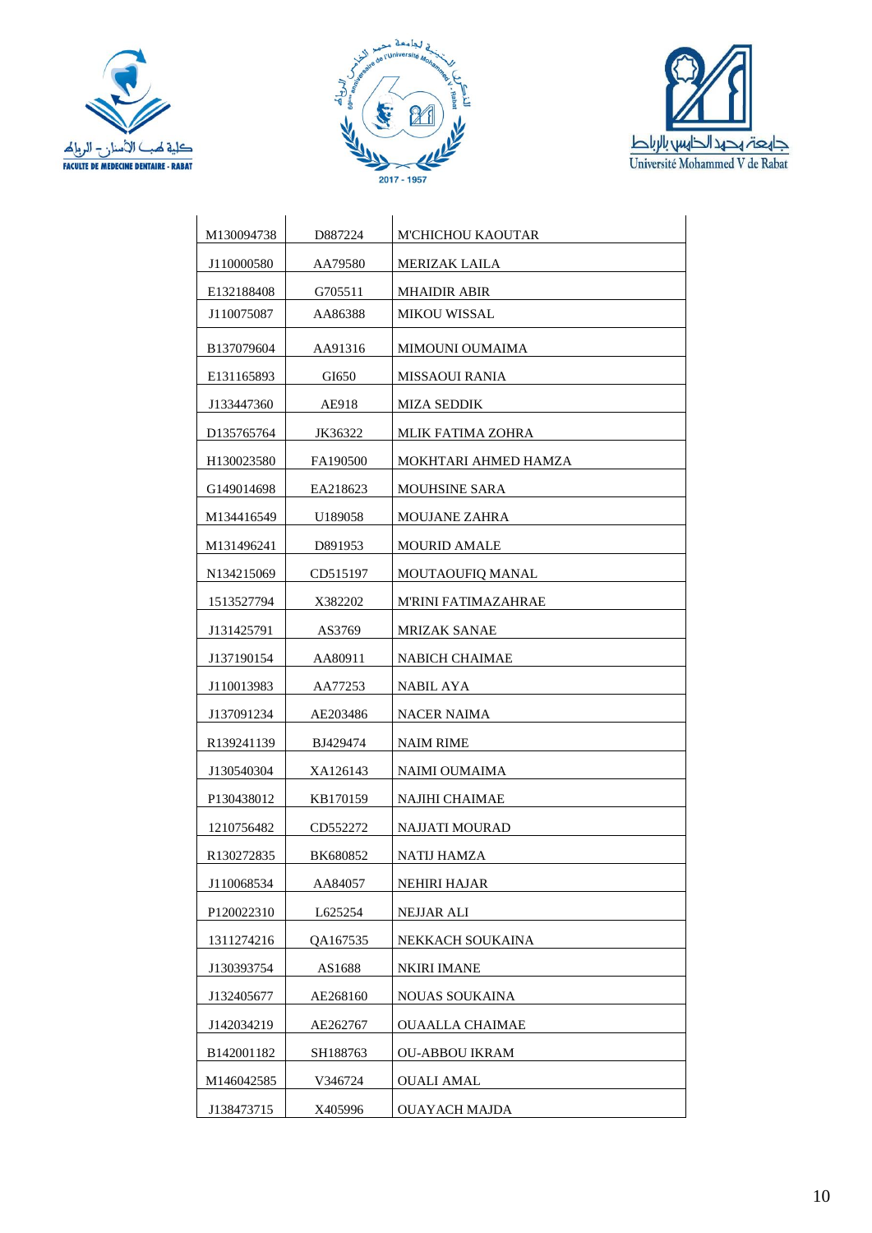





| M130094738             | D887224         | M'CHICHOU KAOUTAR     |
|------------------------|-----------------|-----------------------|
| J110000580             | AA79580         | <b>MERIZAK LAILA</b>  |
| E132188408             | G705511         | <b>MHAIDIR ABIR</b>   |
| J110075087             | AA86388         | <b>MIKOU WISSAL</b>   |
| B137079604             | AA91316         | MIMOUNI OUMAIMA       |
| E131165893             | GI650           | <b>MISSAOUI RANIA</b> |
| J133447360             | AE918           | <b>MIZA SEDDIK</b>    |
| D <sub>135765764</sub> | JK36322         | MLIK FATIMA ZOHRA     |
| H <sub>130023580</sub> | FA190500        | MOKHTARI AHMED HAMZA  |
| G149014698             | EA218623        | <b>MOUHSINE SARA</b>  |
| M134416549             | U189058         | <b>MOUJANE ZAHRA</b>  |
| M131496241             | D891953         | <b>MOURID AMALE</b>   |
| N <sub>134215069</sub> | CD515197        | MOUTAOUFIQ MANAL      |
| 1513527794             | X382202         | M'RINI FATIMAZAHRAE   |
| J131425791             | AS3769          | <b>MRIZAK SANAE</b>   |
| J137190154             | AA80911         | NABICH CHAIMAE        |
| J110013983             | AA77253         | NABIL AYA             |
| J137091234             | AE203486        | NACER NAIMA           |
| R <sub>139241139</sub> | BJ429474        | NAIM RIME             |
| J130540304             | XA126143        | NAIMI OUMAIMA         |
| P130438012             | KB170159        | NAJIHI CHAIMAE        |
| 1210756482             | CD552272        | NAJJATI MOURAD        |
| R <sub>130272835</sub> | <b>BK680852</b> | NATIJ HAMZA           |
| J110068534             | AA84057         | NEHIRI HAJAR          |
| P120022310             | L625254         | NEJJAR ALI            |
| 1311274216             | QA167535        | NEKKACH SOUKAINA      |
| J130393754             | AS1688          | <b>NKIRI IMANE</b>    |
| J132405677             | AE268160        | NOUAS SOUKAINA        |
| J142034219             | AE262767        | OUAALLA CHAIMAE       |
| B142001182             | SH188763        | OU-ABBOU IKRAM        |
| M146042585             | V346724         | <b>OUALI AMAL</b>     |
| J138473715             | X405996         | <b>OUAYACH MAJDA</b>  |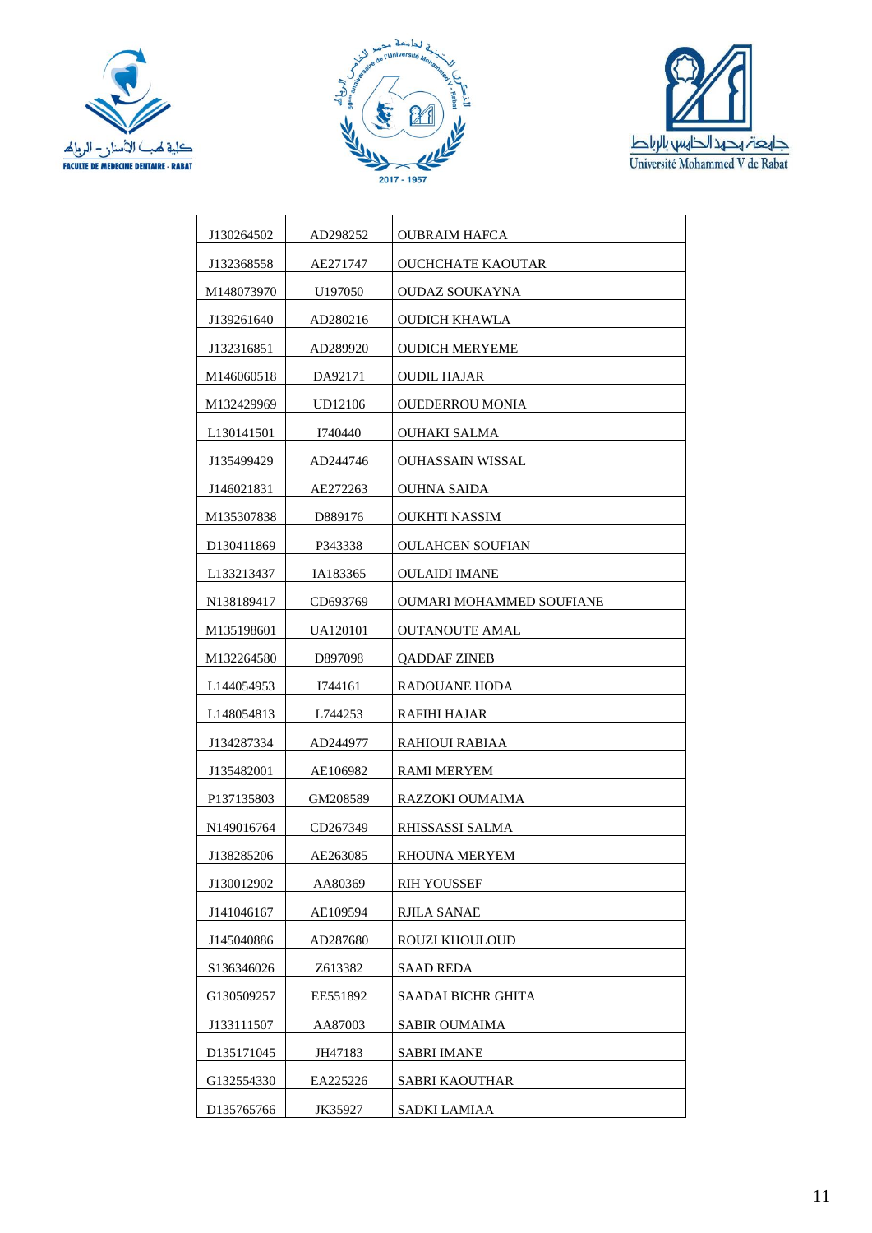





| J130264502             | AD298252 | OUBRAIM HAFCA            |
|------------------------|----------|--------------------------|
| J132368558             | AE271747 | OUCHCHATE KAOUTAR        |
| M148073970             | U197050  | <b>OUDAZ SOUKAYNA</b>    |
| J139261640             | AD280216 | OUDICH KHAWLA            |
| J132316851             | AD289920 | <b>OUDICH MERYEME</b>    |
| M146060518             | DA92171  | <b>OUDIL HAJAR</b>       |
| M132429969             | UD12106  | OUEDERROU MONIA          |
| L <sub>130141501</sub> | I740440  | OUHAKI SALMA             |
| J135499429             | AD244746 | OUHASSAIN WISSAL         |
| J146021831             | AE272263 | <b>OUHNA SAIDA</b>       |
| M135307838             | D889176  | OUKHTI NASSIM            |
| D <sub>130411869</sub> | P343338  | <b>OULAHCEN SOUFIAN</b>  |
| L133213437             | IA183365 | <b>OULAIDI IMANE</b>     |
| N138189417             | CD693769 | OUMARI MOHAMMED SOUFIANE |
| M135198601             | UA120101 | <b>OUTANOUTE AMAL</b>    |
| M132264580             | D897098  | <b>QADDAF ZINEB</b>      |
| L <sub>144054953</sub> | I744161  | RADOUANE HODA            |
| L <sub>148054813</sub> | L744253  | RAFIHI HAJAR             |
| J134287334             | AD244977 | RAHIOUI RABIAA           |
| J135482001             | AE106982 | RAMI MERYEM              |
| P137135803             | GM208589 | RAZZOKI OUMAIMA          |
| N149016764             | CD267349 | RHISSASSI SALMA          |
| J138285206             | AE263085 | RHOUNA MERYEM            |
| J130012902             | AA80369  | RIH YOUSSEF              |
| J141046167             | AE109594 | <b>RJILA SANAE</b>       |
| J145040886             | AD287680 | ROUZI KHOULOUD           |
| S136346026             | Z613382  | <b>SAAD REDA</b>         |
| G130509257             | EE551892 | SAADALBICHR GHITA        |
| J133111507             | AA87003  | <b>SABIR OUMAIMA</b>     |
| D <sub>135171045</sub> | JH47183  | SABRI IMANE              |
| G132554330             | EA225226 | SABRI KAOUTHAR           |
| D135765766             | JK35927  | <b>SADKI LAMIAA</b>      |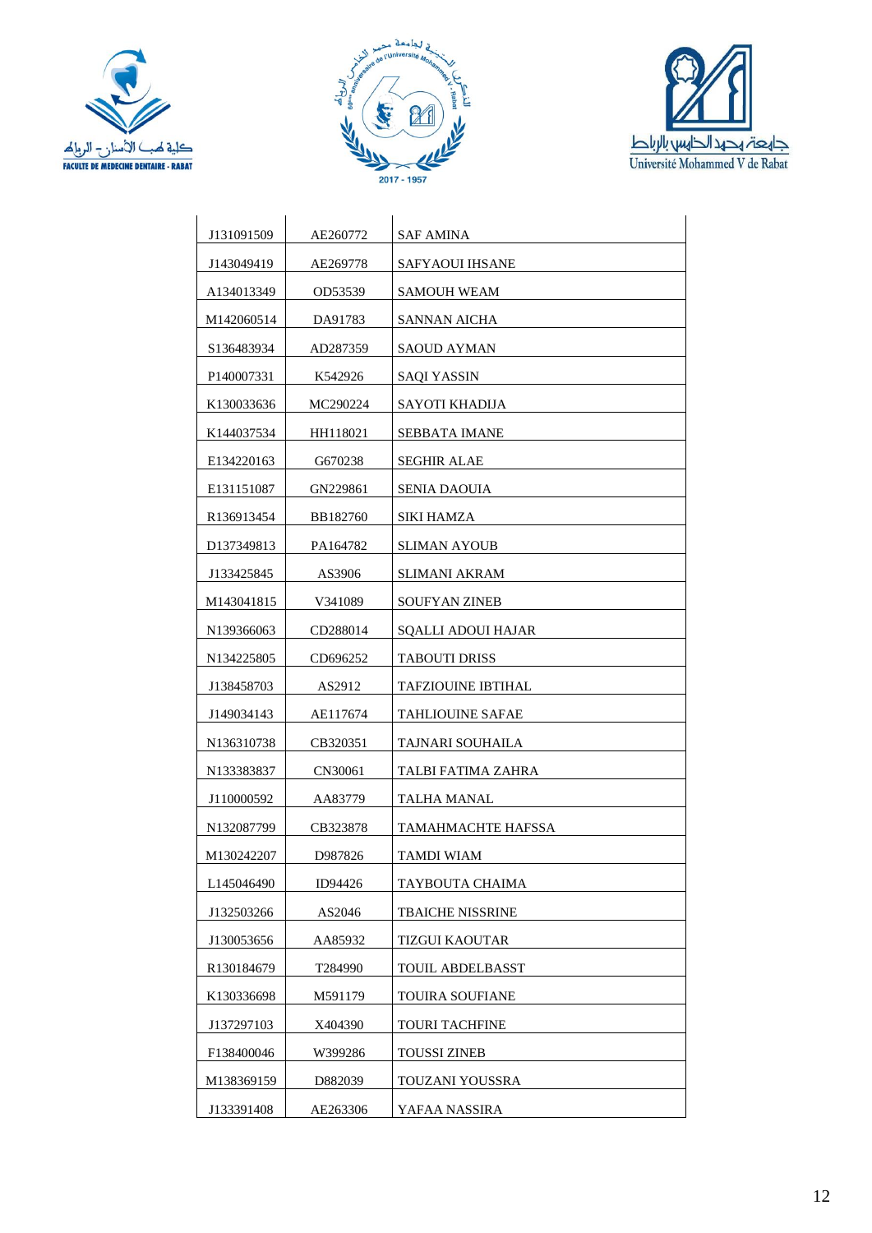





| J131091509              | AE260772 | SAF AMINA                 |
|-------------------------|----------|---------------------------|
| J143049419              | AE269778 | SAFYAOUI IHSANE           |
| A134013349              | OD53539  | <b>SAMOUH WEAM</b>        |
| M142060514              | DA91783  | SANNAN AICHA              |
| S136483934              | AD287359 | SAOUD AYMAN               |
| P140007331              | K542926  | SAQI YASSIN               |
| K <sub>130033636</sub>  | MC290224 | SAYOTI KHADIJA            |
| K144037534              | HH118021 | SEBBATA IMANE             |
| E134220163              | G670238  | <b>SEGHIR ALAE</b>        |
| E131151087              | GN229861 | <b>SENIA DAOUIA</b>       |
| R <sub>1369</sub> 13454 | BB182760 | SIKI HAMZA                |
| D137349813              | PA164782 | <b>SLIMAN AYOUB</b>       |
| J133425845              | AS3906   | SLIMANI AKRAM             |
| M143041815              | V341089  | <b>SOUFYAN ZINEB</b>      |
| N139366063              | CD288014 | <b>SQALLI ADOUI HAJAR</b> |
| N <sub>134225805</sub>  | CD696252 | <b>TABOUTI DRISS</b>      |
| J138458703              | AS2912   | <b>TAFZIOUINE IBTIHAL</b> |
| J149034143              | AE117674 | TAHLIOUINE SAFAE          |
| N136310738              | CB320351 | TAJNARI SOUHAILA          |
| N133383837              | CN30061  | TALBI FATIMA ZAHRA        |
| J110000592              | AA83779  | TALHA MANAL               |
| N132087799              | CB323878 | <b>TAMAHMACHTE HAFSSA</b> |
| M130242207              | D987826  | TAMDI WIAM                |
| L145046490              | ID94426  | TAYBOUTA CHAIMA           |
| J132503266              | AS2046   | <b>TBAICHE NISSRINE</b>   |
| J130053656              | AA85932  | <b>TIZGUI KAOUTAR</b>     |
| R130184679              | T284990  | <b>TOUIL ABDELBASST</b>   |
| K130336698              | M591179  | TOUIRA SOUFIANE           |
| J137297103              | X404390  | TOURI TACHFINE            |
| F138400046              | W399286  | TOUSSI ZINEB              |
| M138369159              | D882039  | TOUZANI YOUSSRA           |
| J133391408              | AE263306 | YAFAA NASSIRA             |